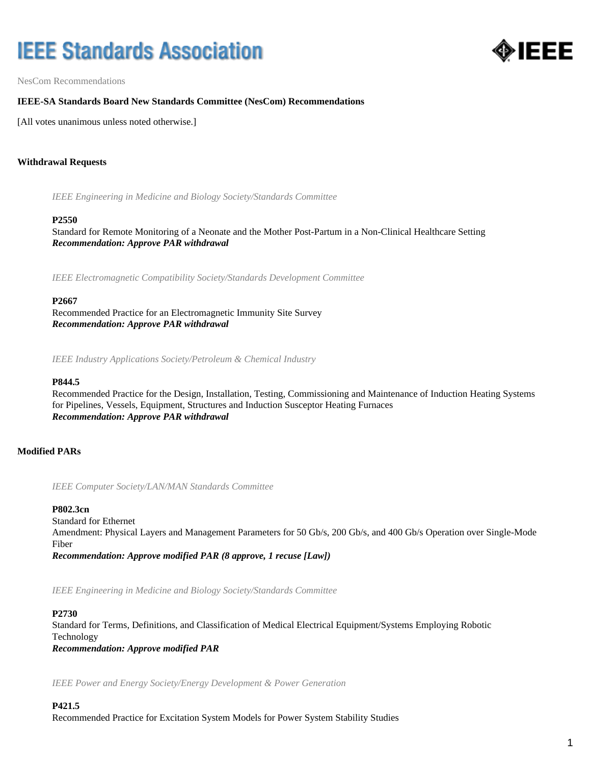# **IEEE Standards Association**



NesCom Recommendations

# **IEEE-SA Standards Board New Standards Committee (NesCom) Recommendations**

[All votes unanimous unless noted otherwise.]

# **Withdrawal Requests**

*IEEE Engineering in Medicine and Biology Society/Standards Committee*

#### **P2550**

Standard for Remote Monitoring of a Neonate and the Mother Post-Partum in a Non-Clinical Healthcare Setting *Recommendation: Approve PAR withdrawal*

*IEEE Electromagnetic Compatibility Society/Standards Development Committee*

#### **P2667**

Recommended Practice for an Electromagnetic Immunity Site Survey *Recommendation: Approve PAR withdrawal*

*IEEE Industry Applications Society/Petroleum & Chemical Industry*

#### **P844.5**

Recommended Practice for the Design, Installation, Testing, Commissioning and Maintenance of Induction Heating Systems for Pipelines, Vessels, Equipment, Structures and Induction Susceptor Heating Furnaces *Recommendation: Approve PAR withdrawal*

# **Modified PARs**

*IEEE Computer Society/LAN/MAN Standards Committee*

#### **P802.3cn**

Standard for Ethernet Amendment: Physical Layers and Management Parameters for 50 Gb/s, 200 Gb/s, and 400 Gb/s Operation over Single-Mode Fiber *Recommendation: Approve modified PAR (8 approve, 1 recuse [Law])*

*IEEE Engineering in Medicine and Biology Society/Standards Committee*

#### **P2730**

Standard for Terms, Definitions, and Classification of Medical Electrical Equipment/Systems Employing Robotic Technology *Recommendation: Approve modified PAR*

*IEEE Power and Energy Society/Energy Development & Power Generation*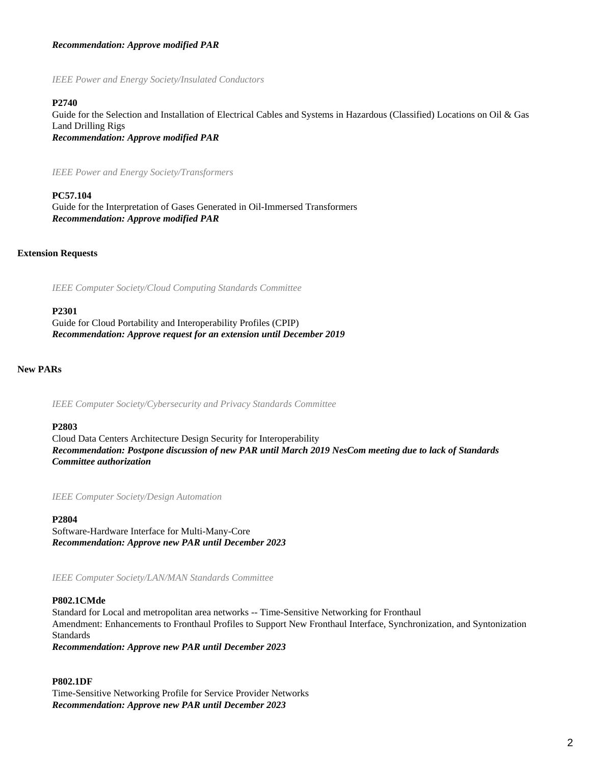# *Recommendation: Approve modified PAR*

*IEEE Power and Energy Society/Insulated Conductors*

#### **P2740**

Guide for the Selection and Installation of Electrical Cables and Systems in Hazardous (Classified) Locations on Oil & Gas Land Drilling Rigs *Recommendation: Approve modified PAR*

*IEEE Power and Energy Society/Transformers*

**PC57.104** Guide for the Interpretation of Gases Generated in Oil-Immersed Transformers *Recommendation: Approve modified PAR*

#### **Extension Requests**

*IEEE Computer Society/Cloud Computing Standards Committee*

#### **P2301**

Guide for Cloud Portability and Interoperability Profiles (CPIP) *Recommendation: Approve request for an extension until December 2019*

#### **New PARs**

*IEEE Computer Society/Cybersecurity and Privacy Standards Committee*

#### **P2803**

Cloud Data Centers Architecture Design Security for Interoperability *Recommendation: Postpone discussion of new PAR until March 2019 NesCom meeting due to lack of Standards Committee authorization*

*IEEE Computer Society/Design Automation*

#### **P2804**

Software-Hardware Interface for Multi-Many-Core *Recommendation: Approve new PAR until December 2023*

*IEEE Computer Society/LAN/MAN Standards Committee*

#### **P802.1CMde**

Standard for Local and metropolitan area networks -- Time-Sensitive Networking for Fronthaul Amendment: Enhancements to Fronthaul Profiles to Support New Fronthaul Interface, Synchronization, and Syntonization **Standards** 

*Recommendation: Approve new PAR until December 2023*

#### **P802.1DF**

Time-Sensitive Networking Profile for Service Provider Networks *Recommendation: Approve new PAR until December 2023*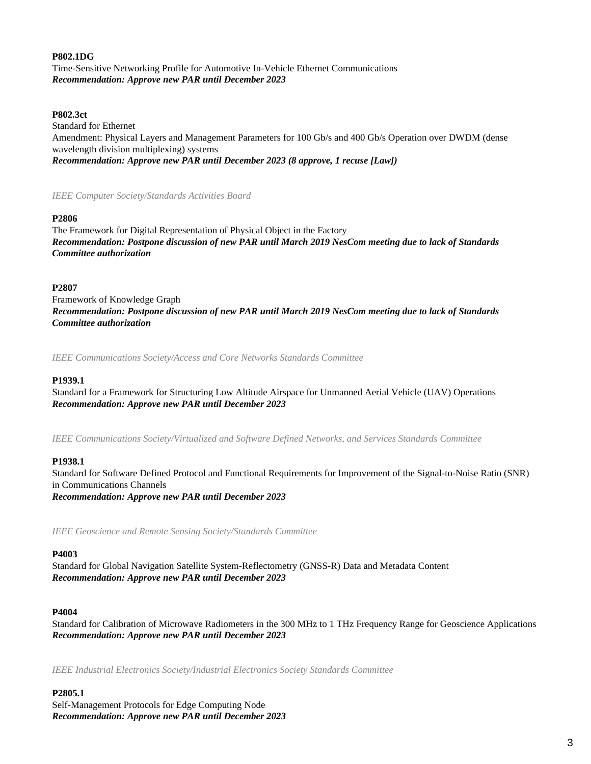# **P802.1DG**

Time-Sensitive Networking Profile for Automotive In-Vehicle Ethernet Communications *Recommendation: Approve new PAR until December 2023*

#### **P802.3ct**

Standard for Ethernet Amendment: Physical Layers and Management Parameters for 100 Gb/s and 400 Gb/s Operation over DWDM (dense wavelength division multiplexing) systems *Recommendation: Approve new PAR until December 2023 (8 approve, 1 recuse [Law])*

# *IEEE Computer Society/Standards Activities Board*

# **P2806**

The Framework for Digital Representation of Physical Object in the Factory *Recommendation: Postpone discussion of new PAR until March 2019 NesCom meeting due to lack of Standards Committee authorization*

# **P2807**

Framework of Knowledge Graph *Recommendation: Postpone discussion of new PAR until March 2019 NesCom meeting due to lack of Standards Committee authorization*

*IEEE Communications Society/Access and Core Networks Standards Committee*

# **P1939.1**

Standard for a Framework for Structuring Low Altitude Airspace for Unmanned Aerial Vehicle (UAV) Operations *Recommendation: Approve new PAR until December 2023*

*IEEE Communications Society/Virtualized and Software Defined Networks, and Services Standards Committee*

# **P1938.1**

Standard for Software Defined Protocol and Functional Requirements for Improvement of the Signal-to-Noise Ratio (SNR) in Communications Channels *Recommendation: Approve new PAR until December 2023*

*IEEE Geoscience and Remote Sensing Society/Standards Committee*

#### **P4003**

Standard for Global Navigation Satellite System-Reflectometry (GNSS-R) Data and Metadata Content *Recommendation: Approve new PAR until December 2023*

#### **P4004**

Standard for Calibration of Microwave Radiometers in the 300 MHz to 1 THz Frequency Range for Geoscience Applications *Recommendation: Approve new PAR until December 2023*

*IEEE Industrial Electronics Society/Industrial Electronics Society Standards Committee*

#### **P2805.1**

Self-Management Protocols for Edge Computing Node *Recommendation: Approve new PAR until December 2023*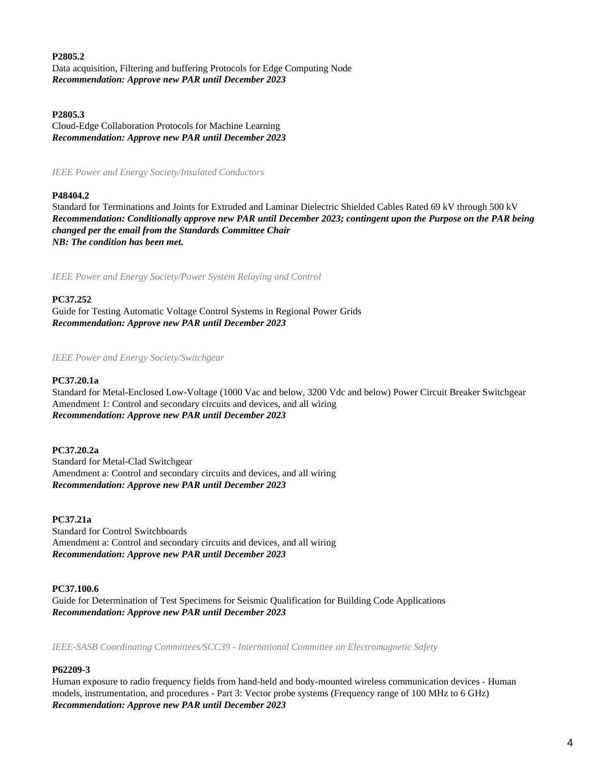# **P2805.2**

Data acquisition, Filtering and buffering Protocols for Edge Computing Node *Recommendation: Approve new PAR until December 2023*

# **P2805.3**

Cloud-Edge Collaboration Protocols for Machine Learning *Recommendation: Approve new PAR until December 2023*

*IEEE Power and Energy Society/Insulated Conductors*

# **P48404.2**

Standard for Terminations and Joints for Extruded and Laminar Dielectric Shielded Cables Rated 69 kV through 500 kV *Recommendation: Conditionally approve new PAR until December 2023; contingent upon the Purpose on the PAR being changed per the email from the Standards Committee Chair NB: The condition has been met.*

*IEEE Power and Energy Society/Power System Relaying and Control*

# **PC37.252**

Guide for Testing Automatic Voltage Control Systems in Regional Power Grids *Recommendation: Approve new PAR until December 2023*

*IEEE Power and Energy Society/Switchgear*

#### **PC37.20.1a**

Standard for Metal-Enclosed Low-Voltage (1000 Vac and below, 3200 Vdc and below) Power Circuit Breaker Switchgear Amendment 1: Control and secondary circuits and devices, and all wiring *Recommendation: Approve new PAR until December 2023*

#### **PC37.20.2a**

Standard for Metal-Clad Switchgear Amendment a: Control and secondary circuits and devices, and all wiring *Recommendation: Approve new PAR until December 2023*

# **PC37.21a**

Standard for Control Switchboards Amendment a: Control and secondary circuits and devices, and all wiring *Recommendation: Approve new PAR until December 2023*

#### **PC37.100.6**

Guide for Determination of Test Specimens for Seismic Qualification for Building Code Applications *Recommendation: Approve new PAR until December 2023*

*IEEE-SASB Coordinating Committees/SCC39 - International Committee on Electromagnetic Safety*

# **P62209-3**

Human exposure to radio frequency fields from hand-held and body-mounted wireless communication devices - Human models, instrumentation, and procedures - Part 3: Vector probe systems (Frequency range of 100 MHz to 6 GHz) *Recommendation: Approve new PAR until December 2023*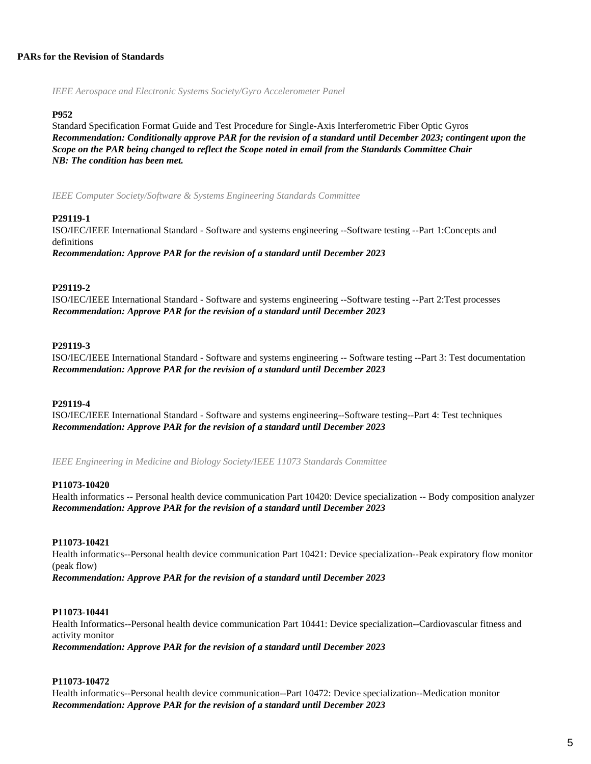### **PARs for the Revision of Standards**

*IEEE Aerospace and Electronic Systems Society/Gyro Accelerometer Panel*

#### **P952**

Standard Specification Format Guide and Test Procedure for Single-Axis Interferometric Fiber Optic Gyros *Recommendation: Conditionally approve PAR for the revision of a standard until December 2023; contingent upon the Scope on the PAR being changed to reflect the Scope noted in email from the Standards Committee Chair NB: The condition has been met.*

*IEEE Computer Society/Software & Systems Engineering Standards Committee*

# **P29119-1**

ISO/IEC/IEEE International Standard - Software and systems engineering --Software testing --Part 1:Concepts and definitions

*Recommendation: Approve PAR for the revision of a standard until December 2023*

# **P29119-2**

ISO/IEC/IEEE International Standard - Software and systems engineering --Software testing --Part 2:Test processes *Recommendation: Approve PAR for the revision of a standard until December 2023*

# **P29119-3**

ISO/IEC/IEEE International Standard - Software and systems engineering -- Software testing --Part 3: Test documentation *Recommendation: Approve PAR for the revision of a standard until December 2023*

#### **P29119-4**

ISO/IEC/IEEE International Standard - Software and systems engineering--Software testing--Part 4: Test techniques *Recommendation: Approve PAR for the revision of a standard until December 2023*

*IEEE Engineering in Medicine and Biology Society/IEEE 11073 Standards Committee*

#### **P11073-10420**

Health informatics -- Personal health device communication Part 10420: Device specialization -- Body composition analyzer *Recommendation: Approve PAR for the revision of a standard until December 2023*

# **P11073-10421**

Health informatics--Personal health device communication Part 10421: Device specialization--Peak expiratory flow monitor (peak flow)

*Recommendation: Approve PAR for the revision of a standard until December 2023*

## **P11073-10441**

Health Informatics--Personal health device communication Part 10441: Device specialization--Cardiovascular fitness and activity monitor *Recommendation: Approve PAR for the revision of a standard until December 2023*

# **P11073-10472**

Health informatics--Personal health device communication--Part 10472: Device specialization--Medication monitor *Recommendation: Approve PAR for the revision of a standard until December 2023*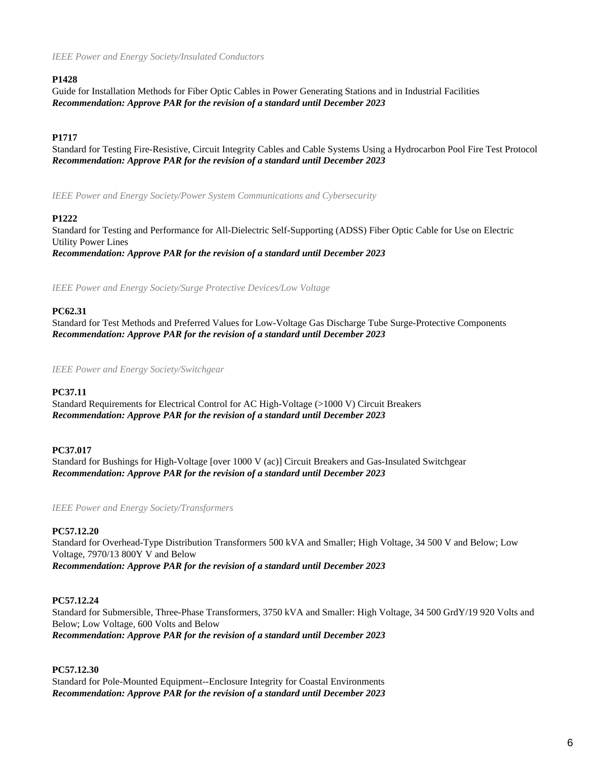# **P1428**

Guide for Installation Methods for Fiber Optic Cables in Power Generating Stations and in Industrial Facilities *Recommendation: Approve PAR for the revision of a standard until December 2023*

# **P1717**

Standard for Testing Fire-Resistive, Circuit Integrity Cables and Cable Systems Using a Hydrocarbon Pool Fire Test Protocol *Recommendation: Approve PAR for the revision of a standard until December 2023*

*IEEE Power and Energy Society/Power System Communications and Cybersecurity*

# **P1222**

Standard for Testing and Performance for All-Dielectric Self-Supporting (ADSS) Fiber Optic Cable for Use on Electric Utility Power Lines *Recommendation: Approve PAR for the revision of a standard until December 2023*

*IEEE Power and Energy Society/Surge Protective Devices/Low Voltage*

# **PC62.31**

Standard for Test Methods and Preferred Values for Low-Voltage Gas Discharge Tube Surge-Protective Components *Recommendation: Approve PAR for the revision of a standard until December 2023*

*IEEE Power and Energy Society/Switchgear*

# **PC37.11**

Standard Requirements for Electrical Control for AC High-Voltage (>1000 V) Circuit Breakers *Recommendation: Approve PAR for the revision of a standard until December 2023*

# **PC37.017**

Standard for Bushings for High-Voltage [over 1000 V (ac)] Circuit Breakers and Gas-Insulated Switchgear *Recommendation: Approve PAR for the revision of a standard until December 2023*

*IEEE Power and Energy Society/Transformers*

# **PC57.12.20**

Standard for Overhead-Type Distribution Transformers 500 kVA and Smaller; High Voltage, 34 500 V and Below; Low Voltage, 7970/13 800Y V and Below *Recommendation: Approve PAR for the revision of a standard until December 2023*

# **PC57.12.24**

Standard for Submersible, Three-Phase Transformers, 3750 kVA and Smaller: High Voltage, 34 500 GrdY/19 920 Volts and Below; Low Voltage, 600 Volts and Below *Recommendation: Approve PAR for the revision of a standard until December 2023*

**PC57.12.30**

Standard for Pole-Mounted Equipment--Enclosure Integrity for Coastal Environments *Recommendation: Approve PAR for the revision of a standard until December 2023*